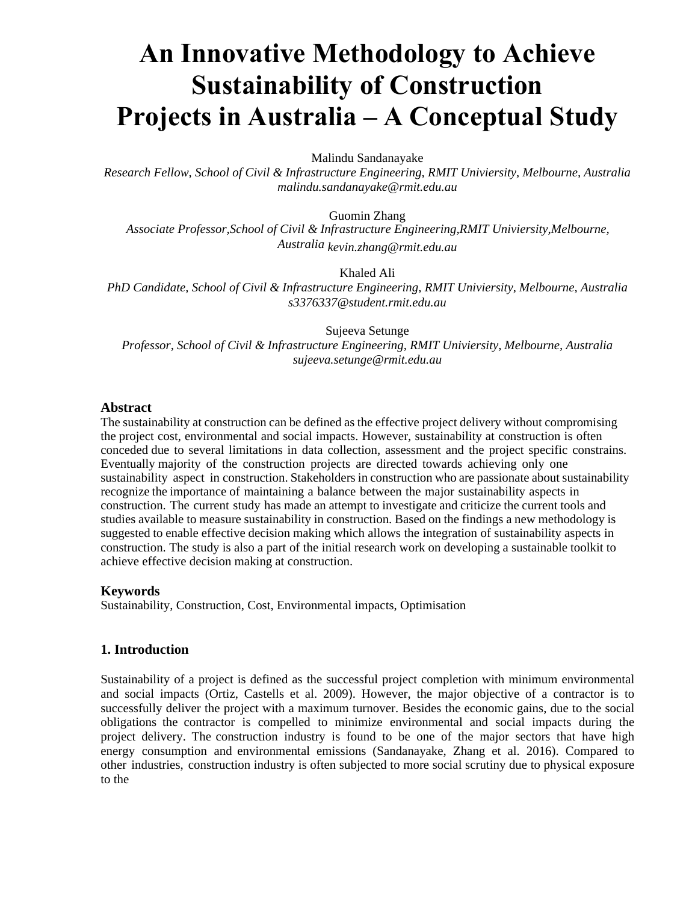# **An Innovative Methodology to Achieve Sustainability of Construction Projects in Australia – A Conceptual Study**

Malindu Sandanayake

*Research Fellow, School of Civil & Infrastructure Engineering, RMIT Univiersity, Melbourne, Australia malindu.sandanayake@rmit.edu.au* 

Guomin Zhang *Associate Professor,School of Civil & Infrastructure Engineering,RMIT Univiersity,Melbourne, Australia kevin.zhang@rmit.edu.au* 

Khaled Ali

*PhD Candidate, School of Civil & Infrastructure Engineering, RMIT Univiersity, Melbourne, Australia s3376337@student.rmit.edu.au* 

Sujeeva Setunge *Professor, School of Civil & Infrastructure Engineering, RMIT Univiersity, Melbourne, Australia sujeeva.setunge@rmit.edu.au* 

#### **Abstract**

The sustainability at construction can be defined as the effective project delivery without compromising the project cost, environmental and social impacts. However, sustainability at construction is often conceded due to several limitations in data collection, assessment and the project specific constrains. Eventually majority of the construction projects are directed towards achieving only one sustainability aspect in construction. Stakeholders in construction who are passionate about sustainability recognize the importance of maintaining a balance between the major sustainability aspects in construction. The current study has made an attempt to investigate and criticize the current tools and studies available to measure sustainability in construction. Based on the findings a new methodology is suggested to enable effective decision making which allows the integration of sustainability aspects in construction. The study is also a part of the initial research work on developing a sustainable toolkit to achieve effective decision making at construction.

## **Keywords**

Sustainability, Construction, Cost, Environmental impacts, Optimisation

## **1. Introduction**

Sustainability of a project is defined as the successful project completion with minimum environmental and social impacts (Ortiz, Castells et al. 2009). However, the major objective of a contractor is to successfully deliver the project with a maximum turnover. Besides the economic gains, due to the social obligations the contractor is compelled to minimize environmental and social impacts during the project delivery. The construction industry is found to be one of the major sectors that have high energy consumption and environmental emissions (Sandanayake, Zhang et al. 2016). Compared to other industries, construction industry is often subjected to more social scrutiny due to physical exposure to the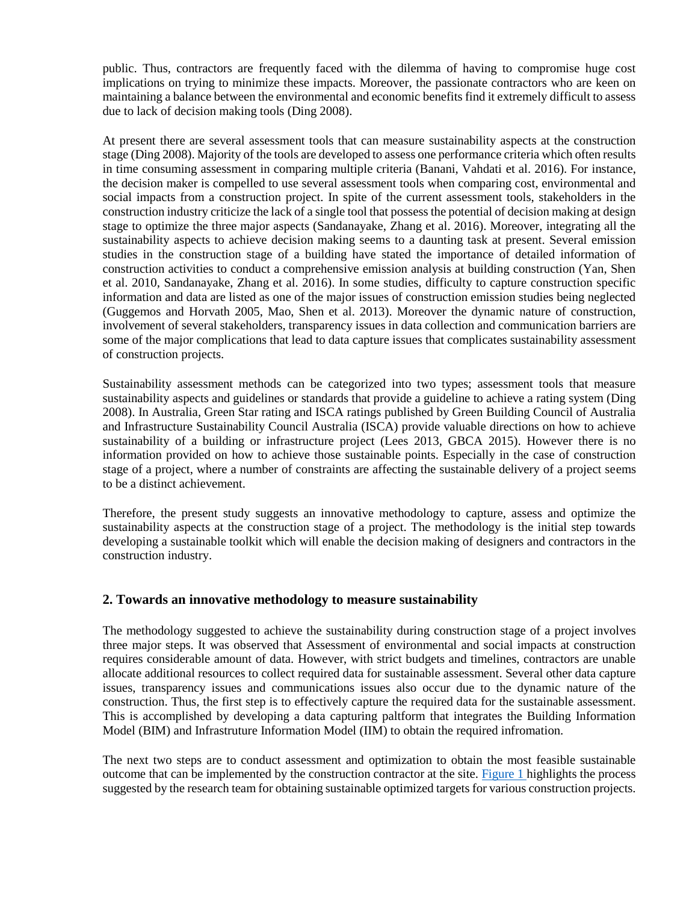public. Thus, contractors are frequently faced with the dilemma of having to compromise huge cost implications on trying to minimize these impacts. Moreover, the passionate contractors who are keen on maintaining a balance between the environmental and economic benefits find it extremely difficult to assess due to lack of decision making tools (Ding 2008).

At present there are several assessment tools that can measure sustainability aspects at the construction stage (Ding 2008). Majority of the tools are developed to assess one performance criteria which often results in time consuming assessment in comparing multiple criteria (Banani, Vahdati et al. 2016). For instance, the decision maker is compelled to use several assessment tools when comparing cost, environmental and social impacts from a construction project. In spite of the current assessment tools, stakeholders in the construction industry criticize the lack of a single tool that possess the potential of decision making at design stage to optimize the three major aspects (Sandanayake, Zhang et al. 2016). Moreover, integrating all the sustainability aspects to achieve decision making seems to a daunting task at present. Several emission studies in the construction stage of a building have stated the importance of detailed information of construction activities to conduct a comprehensive emission analysis at building construction (Yan, Shen et al. 2010, Sandanayake, Zhang et al. 2016). In some studies, difficulty to capture construction specific information and data are listed as one of the major issues of construction emission studies being neglected (Guggemos and Horvath 2005, Mao, Shen et al. 2013). Moreover the dynamic nature of construction, involvement of several stakeholders, transparency issues in data collection and communication barriers are some of the major complications that lead to data capture issues that complicates sustainability assessment of construction projects.

Sustainability assessment methods can be categorized into two types; assessment tools that measure sustainability aspects and guidelines or standards that provide a guideline to achieve a rating system (Ding 2008). In Australia, Green Star rating and ISCA ratings published by Green Building Council of Australia and Infrastructure Sustainability Council Australia (ISCA) provide valuable directions on how to achieve sustainability of a building or infrastructure project (Lees 2013, GBCA 2015). However there is no information provided on how to achieve those sustainable points. Especially in the case of construction stage of a project, where a number of constraints are affecting the sustainable delivery of a project seems to be a distinct achievement.

Therefore, the present study suggests an innovative methodology to capture, assess and optimize the sustainability aspects at the construction stage of a project. The methodology is the initial step towards developing a sustainable toolkit which will enable the decision making of designers and contractors in the construction industry.

## **2. Towards an innovative methodology to measure sustainability**

The methodology suggested to achieve the sustainability during construction stage of a project involves three major steps. It was observed that Assessment of environmental and social impacts at construction requires considerable amount of data. However, with strict budgets and timelines, contractors are unable allocate additional resources to collect required data for sustainable assessment. Several other data capture issues, transparency issues and communications issues also occur due to the dynamic nature of the construction. Thus, the first step is to effectively capture the required data for the sustainable assessment. This is accomplished by developing a data capturing paltform that integrates the Building Information Model (BIM) and Infrastruture Information Model (IIM) to obtain the required infromation.

The next two steps are to conduct assessment and optimization to obtain the most feasible sustainable outcome that can be implemented by the construction contractor at the site. [Figure 1 h](file:///F:/102.doc%23page3)ighlights the process suggested by the research team for obtaining sustainable optimized targets for various construction projects.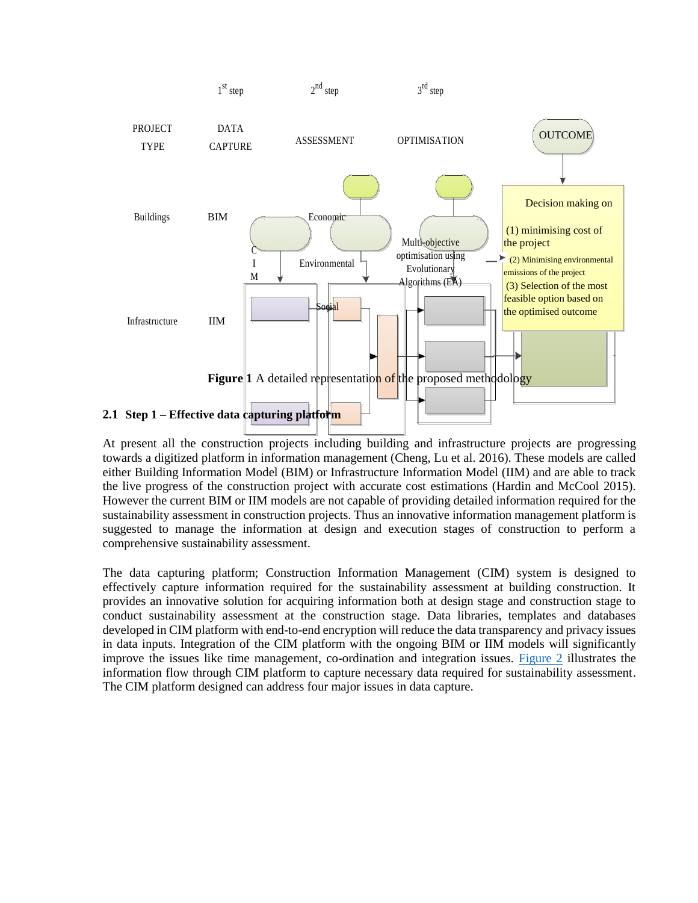

At present all the construction projects including building and infrastructure projects are progressing towards a digitized platform in information management (Cheng, Lu et al. 2016). These models are called either Building Information Model (BIM) or Infrastructure Information Model (IIM) and are able to track the live progress of the construction project with accurate cost estimations (Hardin and McCool 2015). However the current BIM or IIM models are not capable of providing detailed information required for the sustainability assessment in construction projects. Thus an innovative information management platform is suggested to manage the information at design and execution stages of construction to perform a comprehensive sustainability assessment.

The data capturing platform; Construction Information Management (CIM) system is designed to effectively capture information required for the sustainability assessment at building construction. It provides an innovative solution for acquiring information both at design stage and construction stage to conduct sustainability assessment at the construction stage. Data libraries, templates and databases developed in CIM platform with end-to-end encryption will reduce the data transparency and privacy issues in data inputs. Integration of the CIM platform with the ongoing BIM or IIM models will significantly improve the issues like time management, co-ordination and integration issues. [Figure 2](file:///F:/102.doc%23page4) illustrates the information flow through CIM platform to capture necessary data required for sustainability assessment. The CIM platform designed can address four major issues in data capture.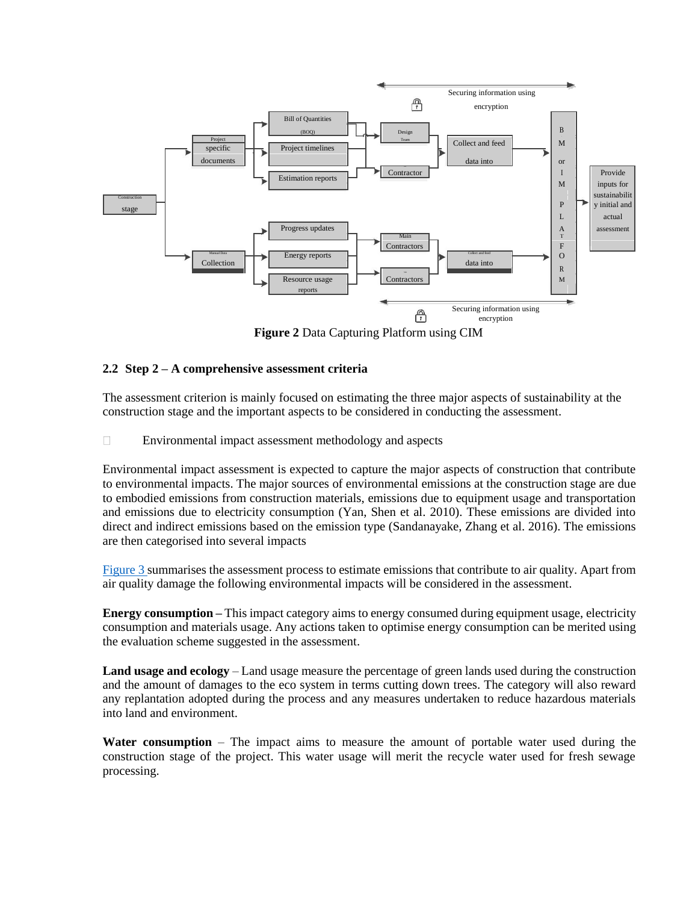

**Figure 2** Data Capturing Platform using CIM

## **2.2 Step 2 – A comprehensive assessment criteria**

The assessment criterion is mainly focused on estimating the three major aspects of sustainability at the construction stage and the important aspects to be considered in conducting the assessment.

 $\Box$ Environmental impact assessment methodology and aspects

Environmental impact assessment is expected to capture the major aspects of construction that contribute to environmental impacts. The major sources of environmental emissions at the construction stage are due to embodied emissions from construction materials, emissions due to equipment usage and transportation and emissions due to electricity consumption (Yan, Shen et al. 2010). These emissions are divided into direct and indirect emissions based on the emission type (Sandanayake, Zhang et al. 2016). The emissions are then categorised into several impacts

[Figure 3 s](file:///F:/102.doc%23page5)ummarises the assessment process to estimate emissions that contribute to air quality. Apart from air quality damage the following environmental impacts will be considered in the assessment.

**Energy consumption –** This impact category aims to energy consumed during equipment usage, electricity consumption and materials usage. Any actions taken to optimise energy consumption can be merited using the evaluation scheme suggested in the assessment.

**Land usage and ecology** – Land usage measure the percentage of green lands used during the construction and the amount of damages to the eco system in terms cutting down trees. The category will also reward any replantation adopted during the process and any measures undertaken to reduce hazardous materials into land and environment.

**Water consumption** – The impact aims to measure the amount of portable water used during the construction stage of the project. This water usage will merit the recycle water used for fresh sewage processing.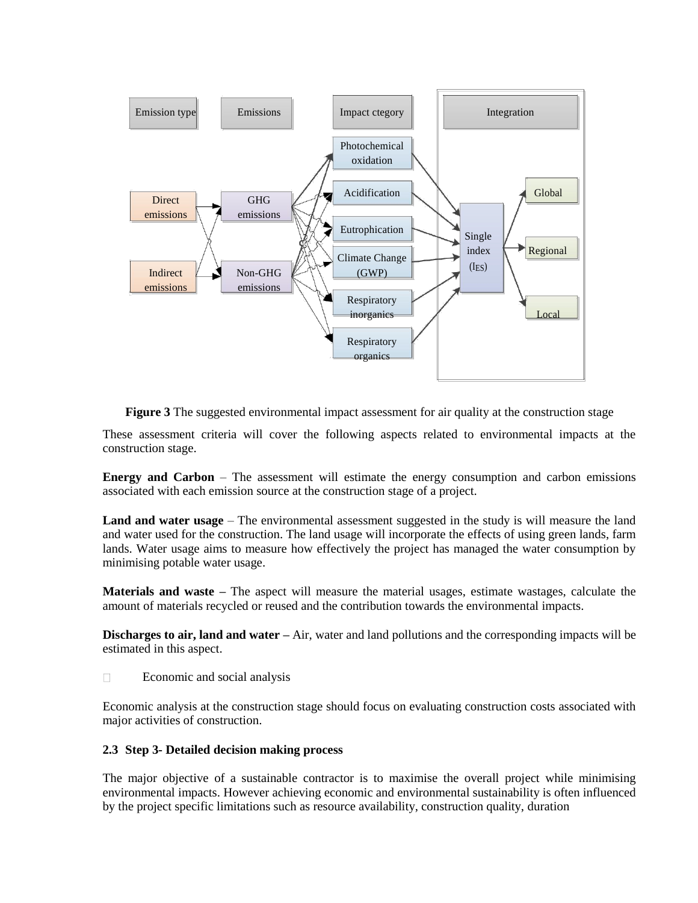

**Figure 3** The suggested environmental impact assessment for air quality at the construction stage

These assessment criteria will cover the following aspects related to environmental impacts at the construction stage.

**Energy and Carbon** – The assessment will estimate the energy consumption and carbon emissions associated with each emission source at the construction stage of a project.

**Land and water usage** – The environmental assessment suggested in the study is will measure the land and water used for the construction. The land usage will incorporate the effects of using green lands, farm lands. Water usage aims to measure how effectively the project has managed the water consumption by minimising potable water usage.

**Materials and waste –** The aspect will measure the material usages, estimate wastages, calculate the amount of materials recycled or reused and the contribution towards the environmental impacts.

**Discharges to air, land and water** – Air, water and land pollutions and the corresponding impacts will be estimated in this aspect.

 $\Box$ Economic and social analysis

Economic analysis at the construction stage should focus on evaluating construction costs associated with major activities of construction.

#### **2.3 Step 3- Detailed decision making process**

The major objective of a sustainable contractor is to maximise the overall project while minimising environmental impacts. However achieving economic and environmental sustainability is often influenced by the project specific limitations such as resource availability, construction quality, duration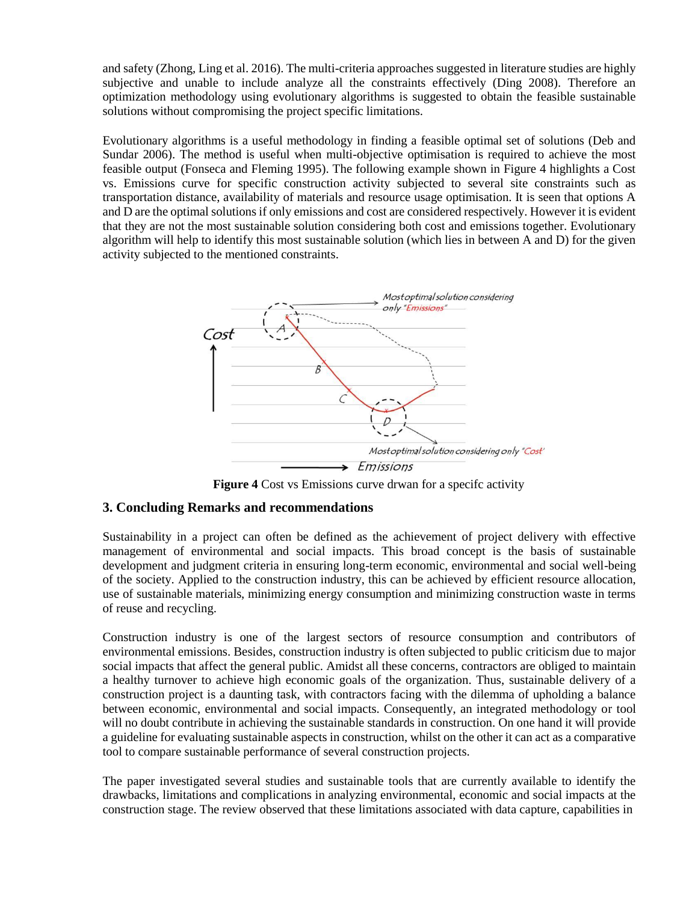and safety (Zhong, Ling et al. 2016). The multi-criteria approaches suggested in literature studies are highly subjective and unable to include analyze all the constraints effectively (Ding 2008). Therefore an optimization methodology using evolutionary algorithms is suggested to obtain the feasible sustainable solutions without compromising the project specific limitations.

Evolutionary algorithms is a useful methodology in finding a feasible optimal set of solutions (Deb and Sundar 2006). The method is useful when multi-objective optimisation is required to achieve the most feasible output (Fonseca and Fleming 1995). The following example shown in Figure 4 highlights a Cost vs. Emissions curve for specific construction activity subjected to several site constraints such as transportation distance, availability of materials and resource usage optimisation. It is seen that options A and D are the optimal solutions if only emissions and cost are considered respectively. However it is evident that they are not the most sustainable solution considering both cost and emissions together. Evolutionary algorithm will help to identify this most sustainable solution (which lies in between A and D) for the given activity subjected to the mentioned constraints.



**Figure 4** Cost vs Emissions curve drwan for a specifc activity

## **3. Concluding Remarks and recommendations**

Sustainability in a project can often be defined as the achievement of project delivery with effective management of environmental and social impacts. This broad concept is the basis of sustainable development and judgment criteria in ensuring long-term economic, environmental and social well-being of the society. Applied to the construction industry, this can be achieved by efficient resource allocation, use of sustainable materials, minimizing energy consumption and minimizing construction waste in terms of reuse and recycling.

Construction industry is one of the largest sectors of resource consumption and contributors of environmental emissions. Besides, construction industry is often subjected to public criticism due to major social impacts that affect the general public. Amidst all these concerns, contractors are obliged to maintain a healthy turnover to achieve high economic goals of the organization. Thus, sustainable delivery of a construction project is a daunting task, with contractors facing with the dilemma of upholding a balance between economic, environmental and social impacts. Consequently, an integrated methodology or tool will no doubt contribute in achieving the sustainable standards in construction. On one hand it will provide a guideline for evaluating sustainable aspects in construction, whilst on the other it can act as a comparative tool to compare sustainable performance of several construction projects.

The paper investigated several studies and sustainable tools that are currently available to identify the drawbacks, limitations and complications in analyzing environmental, economic and social impacts at the construction stage. The review observed that these limitations associated with data capture, capabilities in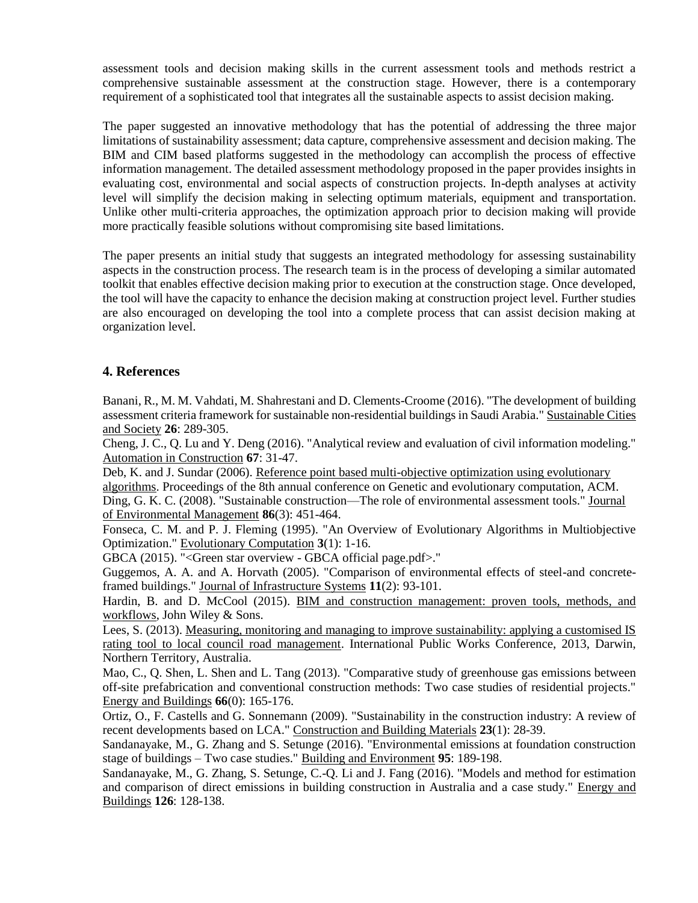assessment tools and decision making skills in the current assessment tools and methods restrict a comprehensive sustainable assessment at the construction stage. However, there is a contemporary requirement of a sophisticated tool that integrates all the sustainable aspects to assist decision making.

The paper suggested an innovative methodology that has the potential of addressing the three major limitations of sustainability assessment; data capture, comprehensive assessment and decision making. The BIM and CIM based platforms suggested in the methodology can accomplish the process of effective information management. The detailed assessment methodology proposed in the paper provides insights in evaluating cost, environmental and social aspects of construction projects. In-depth analyses at activity level will simplify the decision making in selecting optimum materials, equipment and transportation. Unlike other multi-criteria approaches, the optimization approach prior to decision making will provide more practically feasible solutions without compromising site based limitations.

The paper presents an initial study that suggests an integrated methodology for assessing sustainability aspects in the construction process. The research team is in the process of developing a similar automated toolkit that enables effective decision making prior to execution at the construction stage. Once developed, the tool will have the capacity to enhance the decision making at construction project level. Further studies are also encouraged on developing the tool into a complete process that can assist decision making at organization level.

## **4. References**

Banani, R., M. M. Vahdati, M. Shahrestani and D. Clements-Croome (2016). "The development of building assessment criteria framework for sustainable non-residential buildings in Saudi Arabia." Sustainable Cities and Society **26**: 289-305.

Cheng, J. C., Q. Lu and Y. Deng (2016). "Analytical review and evaluation of civil information modeling." Automation in Construction **67**: 31-47.

Deb, K. and J. Sundar (2006). Reference point based multi-objective optimization using evolutionary algorithms. Proceedings of the 8th annual conference on Genetic and evolutionary computation, ACM. Ding, G. K. C. (2008). "Sustainable construction—The role of environmental assessment tools." Journal of Environmental Management **86**(3): 451-464.

Fonseca, C. M. and P. J. Fleming (1995). "An Overview of Evolutionary Algorithms in Multiobjective Optimization." Evolutionary Computation **3**(1): 1-16.

GBCA (2015). "<Green star overview - GBCA official page.pdf>."

Guggemos, A. A. and A. Horvath (2005). "Comparison of environmental effects of steel-and concreteframed buildings." Journal of Infrastructure Systems **11**(2): 93-101.

Hardin, B. and D. McCool (2015). BIM and construction management: proven tools, methods, and workflows, John Wiley & Sons.

Lees, S. (2013). Measuring, monitoring and managing to improve sustainability: applying a customised IS rating tool to local council road management. International Public Works Conference, 2013, Darwin, Northern Territory, Australia.

Mao, C., Q. Shen, L. Shen and L. Tang (2013). "Comparative study of greenhouse gas emissions between off-site prefabrication and conventional construction methods: Two case studies of residential projects." Energy and Buildings **66**(0): 165-176.

Ortiz, O., F. Castells and G. Sonnemann (2009). "Sustainability in the construction industry: A review of recent developments based on LCA." Construction and Building Materials **23**(1): 28-39.

Sandanayake, M., G. Zhang and S. Setunge (2016). "Environmental emissions at foundation construction stage of buildings – Two case studies." Building and Environment **95**: 189-198.

Sandanayake, M., G. Zhang, S. Setunge, C.-Q. Li and J. Fang (2016). "Models and method for estimation and comparison of direct emissions in building construction in Australia and a case study." Energy and Buildings **126**: 128-138.